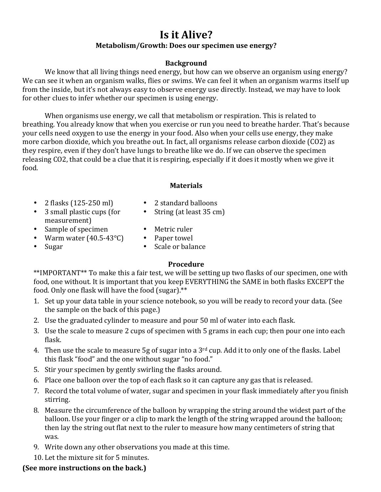# **Is it Alive?** Metabolism/Growth: Does our specimen use energy?

## **Background**

We know that all living things need energy, but how can we observe an organism using energy? We can see it when an organism walks, flies or swims. We can feel it when an organism warms itself up from the inside, but it's not always easy to observe energy use directly. Instead, we may have to look for other clues to infer whether our specimen is using energy.

When organisms use energy, we call that metabolism or respiration. This is related to breathing. You already know that when you exercise or run you need to breathe harder. That's because your cells need oxygen to use the energy in your food. Also when your cells use energy, they make more carbon dioxide, which you breathe out. In fact, all organisms release carbon dioxide (CO2) as they respire, even if they don't have lungs to breathe like we do. If we can observe the specimen releasing CO2, that could be a clue that it is respiring, especially if it does it mostly when we give it food.

#### **Materials**

- 2 flasks (125-250 ml) 2 standard balloons
	-
- 3 small plastic cups (for measurement)
- String (at least 35 cm)
- 
- Sample of specimen Metric ruler<br>• Warm water (40.5-43°C) Paper towel • Warm water  $(40.5-43^{\circ}C)$
- 
- 
- 
- Sugar Scale or balance

## **Procedure**

\*\*IMPORTANT\*\* To make this a fair test, we will be setting up two flasks of our specimen, one with food, one without. It is important that you keep EVERYTHING the SAME in both flasks EXCEPT the food. Only one flask will have the food (sugar).\*\*

- 1. Set up your data table in your science notebook, so you will be ready to record your data. (See the sample on the back of this page.)
- 2. Use the graduated cylinder to measure and pour 50 ml of water into each flask.
- 3. Use the scale to measure 2 cups of specimen with 5 grams in each cup; then pour one into each flask.
- 4. Then use the scale to measure  $5g$  of sugar into a  $3<sup>rd</sup>$  cup. Add it to only one of the flasks. Label this flask "food" and the one without sugar "no food."
- 5. Stir your specimen by gently swirling the flasks around.
- 6. Place one balloon over the top of each flask so it can capture any gas that is released.
- 7. Record the total volume of water, sugar and specimen in your flask immediately after you finish stirring.
- 8. Measure the circumference of the balloon by wrapping the string around the widest part of the balloon. Use your finger or a clip to mark the length of the string wrapped around the balloon; then lay the string out flat next to the ruler to measure how many centimeters of string that was.
- 9. Write down any other observations you made at this time.
- 10. Let the mixture sit for 5 minutes.

# **(See more instructions on the back.)**